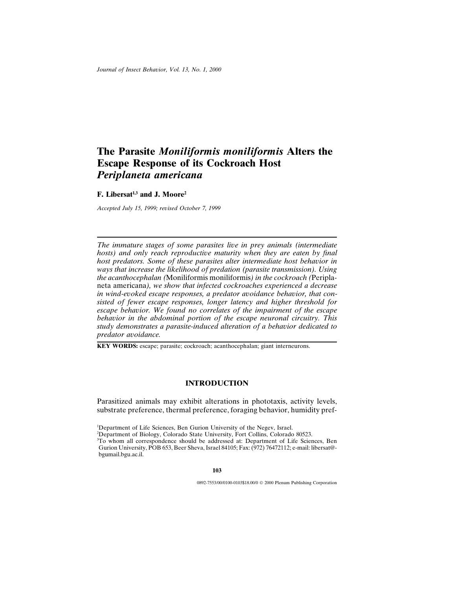# **The Parasite** *Moniliformis moniliformis* **Alters the Escape Response of its Cockroach Host** *Periplaneta americana*

## **F. Libersat1,3 and J. Moore2**

*Accepted July 15, 1999; revised October 7, 1999*

*The immature stages of some parasites live in prey animals (intermediate hosts) and only reach reproductive maturity when they are eaten by final host predators. Some of these parasites alter intermediate host behavior in ways that increase the likelihood of predation (parasite transmission). Using the acanthocephalan (*Moniliformis moniliformis*) in the cockroach (*Periplaneta americana*), we show that infected cockroaches experienced a decrease in wind-evoked escape responses, a predator avoidance behavior, that consisted of fewer escape responses, longer latency and higher threshold for escape behavior. We found no correlates of the impairment of the escape behavior in the abdominal portion of the escape neuronal circuitry. This study demonstrates a parasite-induced alteration of a behavior dedicated to predator avoidance.*

**KEY WORDS:** escape; parasite; cockroach; acanthocephalan; giant interneurons.

# **INTRODUCTION**

Parasitized animals may exhibit alterations in phototaxis, activity levels, substrate preference, thermal preference, foraging behavior, humidity pref-

<sup>1</sup> Department of Life Sciences, Ben Gurion University of the Negev, Israel.

<sup>2</sup> Department of Biology, Colorado State University, Fort Collins, Colorado 80523.

<sup>3</sup> To whom all correspondence should be addressed at: Department of Life Sciences, Ben Gurion University, POB 653, Beer Sheva, Israel 84105; Fax: (972) 76472112; e-mail: libersat@ bgumail.bgu.ac.il.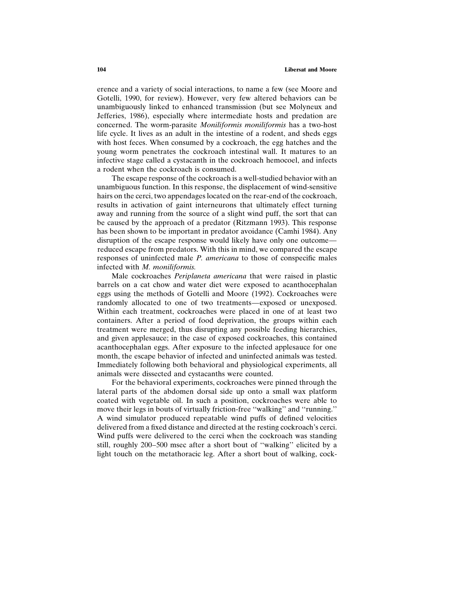**104 Libersat and Moore**

erence and a variety of social interactions, to name a few (see Moore and Gotelli, 1990, for review). However, very few altered behaviors can be unambiguously linked to enhanced transmission (but see Molyneux and Jefferies, 1986), especially where intermediate hosts and predation are concerned. The worm-parasite *Moniliformis moniliformis* has a two-host life cycle. It lives as an adult in the intestine of a rodent, and sheds eggs with host feces. When consumed by a cockroach, the egg hatches and the young worm penetrates the cockroach intestinal wall. It matures to an infective stage called a cystacanth in the cockroach hemocoel, and infects a rodent when the cockroach is consumed.

The escape response of the cockroach is a well-studied behavior with an unambiguous function. In this response, the displacement of wind-sensitive hairs on the cerci, two appendages located on the rear-end of the cockroach, results in activation of gaint interneurons that ultimately effect turning away and running from the source of a slight wind puff, the sort that can be caused by the approach of a predator (Ritzmann 1993). This response has been shown to be important in predator avoidance (Camhi 1984). Any disruption of the escape response would likely have only one outcome reduced escape from predators. With this in mind, we compared the escape responses of uninfected male *P. americana* to those of conspecific males infected with *M. moniliformis.*

Male cockroaches *Periplaneta americana* that were raised in plastic barrels on a cat chow and water diet were exposed to acanthocephalan eggs using the methods of Gotelli and Moore (1992). Cockroaches were randomly allocated to one of two treatments—exposed or unexposed. Within each treatment, cockroaches were placed in one of at least two containers. After a period of food deprivation, the groups within each treatment were merged, thus disrupting any possible feeding hierarchies, and given applesauce; in the case of exposed cockroaches, this contained acanthocephalan eggs. After exposure to the infected applesauce for one month, the escape behavior of infected and uninfected animals was tested. Immediately following both behavioral and physiological experiments, all animals were dissected and cystacanths were counted.

For the behavioral experiments, cockroaches were pinned through the lateral parts of the abdomen dorsal side up onto a small wax platform coated with vegetable oil. In such a position, cockroaches were able to move their legs in bouts of virtually friction-free ''walking'' and ''running.'' A wind simulator produced repeatable wind puffs of defined velocities delivered from a fixed distance and directed at the resting cockroach's cerci. Wind puffs were delivered to the cerci when the cockroach was standing still, roughly 200–500 msec after a short bout of ''walking'' elicited by a light touch on the metathoracic leg. After a short bout of walking, cock-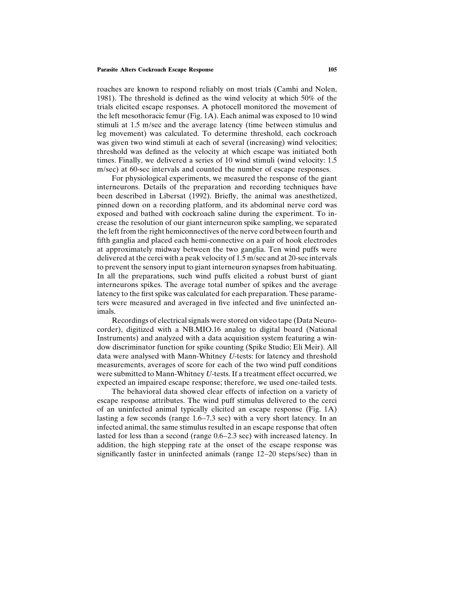#### **Parasite Alters Cockroach Escape Response 105**

roaches are known to respond reliably on most trials (Camhi and Nolen, 1981). The threshold is defined as the wind velocity at which 50% of the trials elicited escape responses. A photocell monitored the movement of the left mesothoracic femur (Fig. 1A). Each animal was exposed to 10 wind stimuli at 1.5 m/sec and the average latency (time between stimulus and leg movement) was calculated. To determine threshold, each cockroach was given two wind stimuli at each of several (increasing) wind velocities; threshold was defined as the velocity at which escape was initiated both times. Finally, we delivered a series of 10 wind stimuli (wind velocity: 1.5 m/sec) at 60-sec intervals and counted the number of escape responses.

For physiological experiments, we measured the response of the giant interneurons. Details of the preparation and recording techniques have been described in Libersat (1992). Briefly, the animal was anesthetized, pinned down on a recording platform, and its abdominal nerve cord was exposed and bathed with cockroach saline during the experiment. To increase the resolution of our giant interneuron spike sampling, we separated the left from the right hemiconnectives of the nerve cord between fourth and fifth ganglia and placed each hemi-connective on a pair of hook electrodes at approximately midway between the two ganglia. Ten wind puffs were delivered at the cerci with a peak velocity of 1.5 m/sec and at 20-sec intervals to prevent the sensory input to giant interneuron synapses from habituating. In all the preparations, such wind puffs elicited a robust burst of giant interneurons spikes. The average total number of spikes and the average latency to the first spike was calculated for each preparation. These parameters were measured and averaged in five infected and five uninfected animals.

Recordings of electrical signals were stored on video tape (Data Neurocorder), digitized with a NB.MIO.16 analog to digital board (National Instruments) and analyzed with a data acquisition system featuring a window discriminator function for spike counting (Spike Studio; Eli Meir). All data were analysed with Mann-Whitney *U*-tests: for latency and threshold measurements, averages of score for each of the two wind puff conditions were submitted to Mann-Whitney *U*-tests. If a treatment effect occurred, we expected an impaired escape response; therefore, we used one-tailed tests.

The behavioral data showed clear effects of infection on a variety of escape response attributes. The wind puff stimulus delivered to the cerci of an uninfected animal typically elicited an escape response (Fig. 1A) lasting a few seconds (range 1.6–7.3 sec) with a very short latency. In an infected animal, the same stimulus resulted in an escape response that often lasted for less than a second (range 0.6–2.3 sec) with increased latency. In addition, the high stepping rate at the onset of the escape response was significantly faster in uninfected animals (range 12–20 steps/sec) than in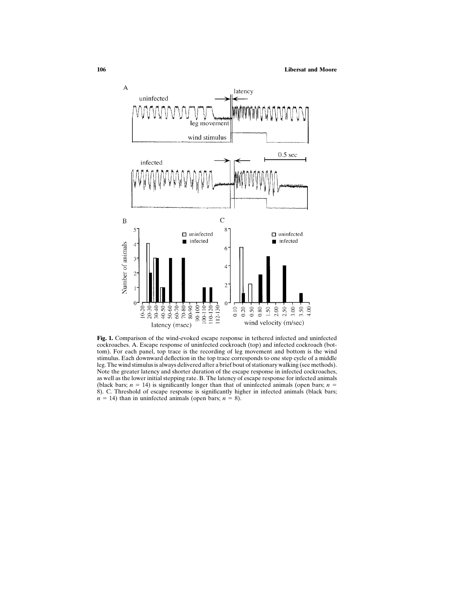

**Fig. 1.** Comparison of the wind-evoked escape response in tethered infected and uninfected cockroaches. A. Escape response of uninfected cockroach (top) and infected cockroach (bottom). For each panel, top trace is the recording of leg movement and bottom is the wind stimulus. Each downward deflection in the top trace corresponds to one step cycle of a middle leg. The wind stimulus is always delivered after a brief bout of stationary walking (see methods). Note the greater latency and shorter duration of the escape response in infected cockroaches, as well as the lower initial stepping rate. B. The latency of escape response for infected animals (black bars;  $n = 14$ ) is significantly longer than that of uninfected animals (open bars;  $n =$ 8). C. Threshold of escape response is significantly higher in infected animals (black bars;  $n = 14$ ) than in uninfected animals (open bars;  $n = 8$ ).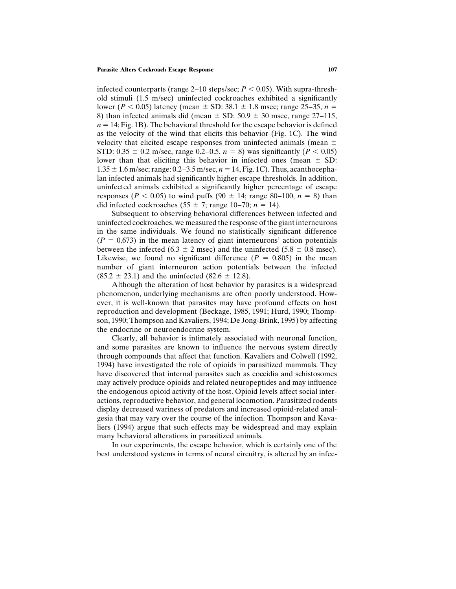#### **Parasite Alters Cockroach Escape Response 107**

infected counterparts (range  $2-10$  steps/sec;  $P < 0.05$ ). With supra-threshold stimuli (1.5 m/sec) uninfected cockroaches exhibited a significantly lower (*P* < 0.05) latency (mean  $\pm$  SD: 38.1  $\pm$  1.8 msec; range 25–35, *n* = 8) than infected animals did (mean  $\pm$  SD: 50.9  $\pm$  30 msec, range 27–115,  $n = 14$ ; Fig. 1B). The behavioral threshold for the escape behavior is defined as the velocity of the wind that elicits this behavior (Fig. 1C). The wind velocity that elicited escape responses from uninfected animals (mean  $\pm$ STD:  $0.35 \pm 0.2$  m/sec, range  $0.2{\text -}0.5$ ,  $n = 8$ ) was significantly ( $P < 0.05$ ) lower than that eliciting this behavior in infected ones (mean  $\pm$  SD:  $1.35 \pm 1.6$  m/sec; range:  $0.2 - 3.5$  m/sec,  $n = 14$ , Fig. 1C). Thus, acanthocephalan infected animals had significantly higher escape thresholds. In addition, uninfected animals exhibited a significantly higher percentage of escape responses ( $P < 0.05$ ) to wind puffs ( $90 \pm 14$ ; range 80–100,  $n = 8$ ) than did infected cockroaches (55  $\pm$  7; range 10–70; *n* = 14).

Subsequent to observing behavioral differences between infected and uninfected cockroaches, we measured the response of the giant interneurons in the same individuals. We found no statistically significant difference  $(P = 0.673)$  in the mean latency of giant interneurons' action potentials between the infected (6.3  $\pm$  2 msec) and the uninfected (5.8  $\pm$  0.8 msec). Likewise, we found no significant difference  $(P = 0.805)$  in the mean number of giant interneuron action potentials between the infected  $(85.2 \pm 23.1)$  and the uninfected  $(82.6 \pm 12.8)$ .

Although the alteration of host behavior by parasites is a widespread phenomenon, underlying mechanisms are often poorly understood. However, it is well-known that parasites may have profound effects on host reproduction and development (Beckage, 1985, 1991; Hurd, 1990; Thompson, 1990; Thompson and Kavaliers, 1994; De Jong-Brink, 1995) by affecting the endocrine or neuroendocrine system.

Clearly, all behavior is intimately associated with neuronal function, and some parasites are known to influence the nervous system directly through compounds that affect that function. Kavaliers and Colwell (1992, 1994) have investigated the role of opioids in parasitized mammals. They have discovered that internal parasites such as coccidia and schistosomes may actively produce opioids and related neuropeptides and may influence the endogenous opioid activity of the host. Opioid levels affect social interactions, reproductive behavior, and general locomotion. Parasitized rodents display decreased wariness of predators and increased opioid-related analgesia that may vary over the course of the infection. Thompson and Kavaliers (1994) argue that such effects may be widespread and may explain many behavioral alterations in parasitized animals.

In our experiments, the escape behavior, which is certainly one of the best understood systems in terms of neural circuitry, is altered by an infec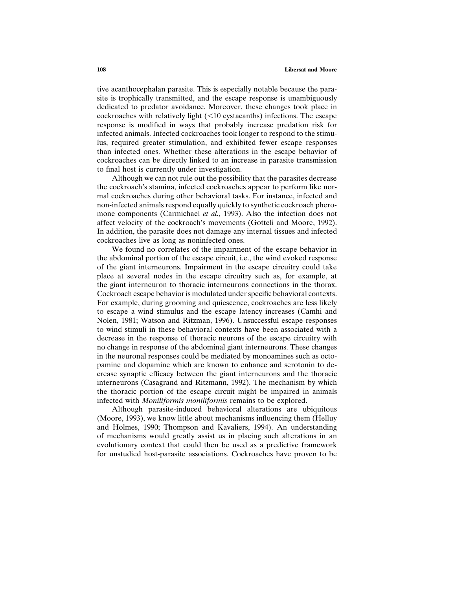**108 Libersat and Moore**

tive acanthocephalan parasite. This is especially notable because the parasite is trophically transmitted, and the escape response is unambiguously dedicated to predator avoidance. Moreover, these changes took place in cockroaches with relatively light  $(<$ 10 cystacanths) infections. The escape response is modified in ways that probably increase predation risk for infected animals. Infected cockroaches took longer to respond to the stimulus, required greater stimulation, and exhibited fewer escape responses than infected ones. Whether these alterations in the escape behavior of cockroaches can be directly linked to an increase in parasite transmission to final host is currently under investigation.

Although we can not rule out the possibility that the parasites decrease the cockroach's stamina, infected cockroaches appear to perform like normal cockroaches during other behavioral tasks. For instance, infected and non-infected animals respond equally quickly to synthetic cockroach pheromone components (Carmichael *et al.,* 1993). Also the infection does not affect velocity of the cockroach's movements (Gotteli and Moore, 1992). In addition, the parasite does not damage any internal tissues and infected cockroaches live as long as noninfected ones.

We found no correlates of the impairment of the escape behavior in the abdominal portion of the escape circuit, i.e., the wind evoked response of the giant interneurons. Impairment in the escape circuitry could take place at several nodes in the escape circuitry such as, for example, at the giant interneuron to thoracic interneurons connections in the thorax. Cockroach escape behavior is modulated under specific behavioral contexts. For example, during grooming and quiescence, cockroaches are less likely to escape a wind stimulus and the escape latency increases (Camhi and Nolen, 1981; Watson and Ritzman, 1996). Unsuccessful escape responses to wind stimuli in these behavioral contexts have been associated with a decrease in the response of thoracic neurons of the escape circuitry with no change in response of the abdominal giant interneurons. These changes in the neuronal responses could be mediated by monoamines such as octopamine and dopamine which are known to enhance and serotonin to decrease synaptic efficacy between the giant interneurons and the thoracic interneurons (Casagrand and Ritzmann, 1992). The mechanism by which the thoracic portion of the escape circuit might be impaired in animals infected with *Moniliformis moniliformis* remains to be explored.

Although parasite-induced behavioral alterations are ubiquitous (Moore, 1993), we know little about mechanisms influencing them  $(Helluv)$ and Holmes, 1990; Thompson and Kavaliers, 1994). An understanding of mechanisms would greatly assist us in placing such alterations in an evolutionary context that could then be used as a predictive framework for unstudied host-parasite associations. Cockroaches have proven to be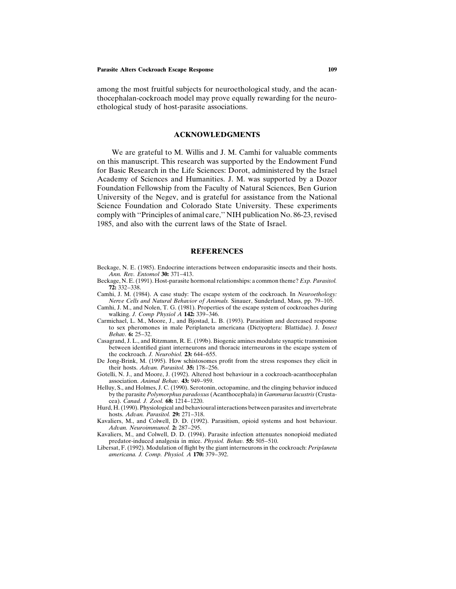among the most fruitful subjects for neuroethological study, and the acanthocephalan-cockroach model may prove equally rewarding for the neuroethological study of host-parasite associations.

## **ACKNOWLEDGMENTS**

We are grateful to M. Willis and J. M. Camhi for valuable comments on this manuscript. This research was supported by the Endowment Fund for Basic Research in the Life Sciences: Dorot, administered by the Israel Academy of Sciences and Humanities. J. M. was supported by a Dozor Foundation Fellowship from the Faculty of Natural Sciences, Ben Gurion University of the Negev, and is grateful for assistance from the National Science Foundation and Colorado State University. These experiments comply with ''Principles of animal care,'' NIH publication No. 86-23, revised 1985, and also with the current laws of the State of Israel.

## **REFERENCES**

- Beckage, N. E. (1985). Endocrine interactions between endoparasitic insects and their hosts. *Ann. Rev. Entomol* **30:** 371–413.
- Beckage, N. E. (1991). Host-parasite hormonal relationships: a common theme? *Exp. Parasitol.* **72:** 332–338.
- Camhi, J. M. (1984). A case study: The escape system of the cockroach. In *Neuroethology: Nerve Cells and Natural Behavior of Animals.* Sinauer, Sunderland, Mass, pp. 79–105.
- Camhi, J. M., and Nolen, T. G. (1981). Properties of the escape system of cockroaches during walking. *J. Comp Physiol A* **142:** 339–346.
- Carmichael, L. M., Moore, J., and Bjostad, L. B. (1993). Parasitism and decreased response to sex pheromones in male Periplaneta americana (Dictyoptera: Blattidae). J. *Insect Behav.* **6:** 25–32.
- Casagrand, J. L., and Ritzmann, R. E. (199b). Biogenic amines modulate synaptic transmission between identified giant interneurons and thoracic interneurons in the escape system of the cockroach. *J. Neurobiol.* **23:** 644–655.
- De Jong-Brink, M. (1995). How schistosomes profit from the stress responses they elicit in their hosts. *Advan. Parasitol.* **35:** 178–256.
- Gotelli, N. J., and Moore, J. (1992). Altered host behaviour in a cockroach-acanthocephalan association. *Animal Behav.* **43:** 949–959.
- Helluy, S., and Holmes, J. C. (1990). Serotonin, octopamine, and the clinging behavior induced by the parasite *Polymorphus paradoxus*(Acanthocephala) in *Gammarus lacustris*(Crustacea). *Canad. J. Zool.* **68:** 1214–1220.
- Hurd, H. (1990). Physiological and behavioural interactions between parasites and invertebrate hosts. *Advan. Parasitol.* **29:** 271–318.
- Kavaliers, M., and Colwell, D. D. (1992). Parasitism, opioid systems and host behaviour. *Advan. Neuroimmunol.* **2:** 287–295.
- Kavaliers, M., and Colwell, D. D. (1994). Parasite infection attenuates nonopioid mediated predator-induced analgesia in mice. *Physiol. Behav.* **55:** 505–510.
- Libersat, F. (1992). Modulation of flight by the giant interneurons in the cockroach: *Periplaneta americana. J. Comp. Physiol. A* **170:** 379–392.